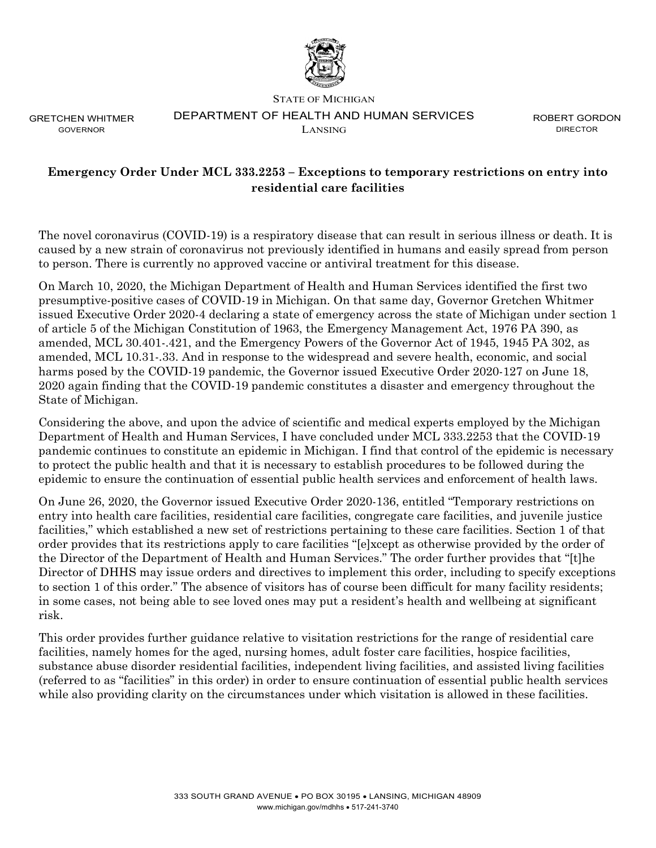

GRETCHEN WHITMER GOVERNOR

## STATE OF MICHIGAN DEPARTMENT OF HEALTH AND HUMAN SERVICES LANSING

ROBERT GORDON DIRECTOR

## **Emergency Order Under MCL 333.2253 – Exceptions to temporary restrictions on entry into residential care facilities**

The novel coronavirus (COVID-19) is a respiratory disease that can result in serious illness or death. It is caused by a new strain of coronavirus not previously identified in humans and easily spread from person to person. There is currently no approved vaccine or antiviral treatment for this disease.

On March 10, 2020, the Michigan Department of Health and Human Services identified the first two presumptive-positive cases of COVID-19 in Michigan. On that same day, Governor Gretchen Whitmer issued Executive Order 2020-4 declaring a state of emergency across the state of Michigan under section 1 of article 5 of the Michigan Constitution of 1963, the Emergency Management Act, 1976 PA 390, as amended, MCL 30.401-.421, and the Emergency Powers of the Governor Act of 1945, 1945 PA 302, as amended, MCL 10.31-.33. And in response to the widespread and severe health, economic, and social harms posed by the COVID-19 pandemic, the Governor issued Executive Order 2020-127 on June 18, 2020 again finding that the COVID-19 pandemic constitutes a disaster and emergency throughout the State of Michigan.

Considering the above, and upon the advice of scientific and medical experts employed by the Michigan Department of Health and Human Services, I have concluded under MCL 333.2253 that the COVID-19 pandemic continues to constitute an epidemic in Michigan. I find that control of the epidemic is necessary to protect the public health and that it is necessary to establish procedures to be followed during the epidemic to ensure the continuation of essential public health services and enforcement of health laws.

On June 26, 2020, the Governor issued Executive Order 2020-136, entitled "Temporary restrictions on entry into health care facilities, residential care facilities, congregate care facilities, and juvenile justice facilities," which established a new set of restrictions pertaining to these care facilities. Section 1 of that order provides that its restrictions apply to care facilities "[e]xcept as otherwise provided by the order of the Director of the Department of Health and Human Services." The order further provides that "[t]he Director of DHHS may issue orders and directives to implement this order, including to specify exceptions to section 1 of this order." The absence of visitors has of course been difficult for many facility residents; in some cases, not being able to see loved ones may put a resident's health and wellbeing at significant risk.

This order provides further guidance relative to visitation restrictions for the range of residential care facilities, namely homes for the aged, nursing homes, adult foster care facilities, hospice facilities, substance abuse disorder residential facilities, independent living facilities, and assisted living facilities (referred to as "facilities" in this order) in order to ensure continuation of essential public health services while also providing clarity on the circumstances under which visitation is allowed in these facilities.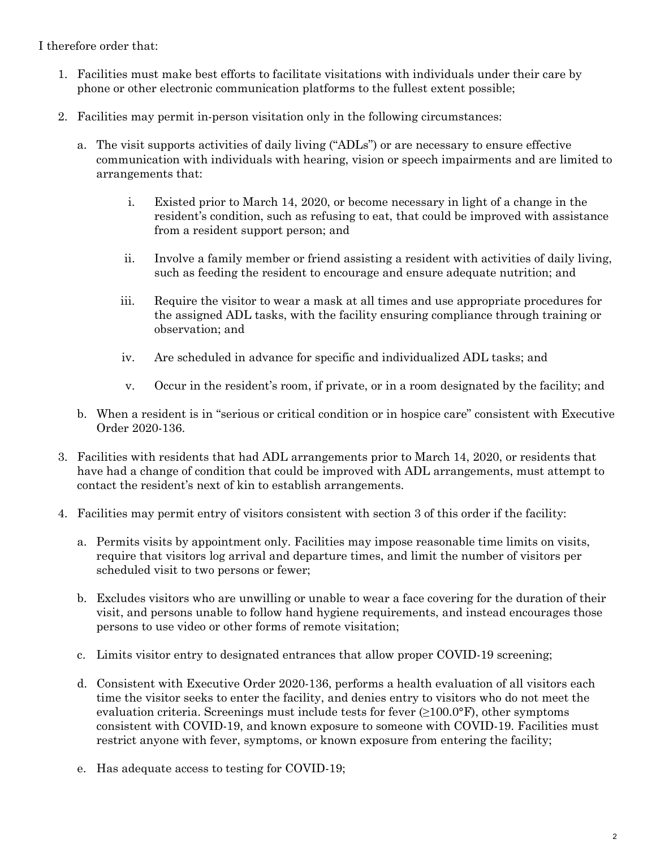## I therefore order that:

- 1. Facilities must make best efforts to facilitate visitations with individuals under their care by phone or other electronic communication platforms to the fullest extent possible;
- 2. Facilities may permit in-person visitation only in the following circumstances:
	- a. The visit supports activities of daily living ("ADLs") or are necessary to ensure effective communication with individuals with hearing, vision or speech impairments and are limited to arrangements that:
		- i. Existed prior to March 14, 2020, or become necessary in light of a change in the resident's condition, such as refusing to eat, that could be improved with assistance from a resident support person; and
		- ii. Involve a family member or friend assisting a resident with activities of daily living, such as feeding the resident to encourage and ensure adequate nutrition; and
		- iii. Require the visitor to wear a mask at all times and use appropriate procedures for the assigned ADL tasks, with the facility ensuring compliance through training or observation; and
		- iv. Are scheduled in advance for specific and individualized ADL tasks; and
		- v. Occur in the resident's room, if private, or in a room designated by the facility; and
	- b. When a resident is in "serious or critical condition or in hospice care" consistent with Executive Order 2020-136.
- 3. Facilities with residents that had ADL arrangements prior to March 14, 2020, or residents that have had a change of condition that could be improved with ADL arrangements, must attempt to contact the resident's next of kin to establish arrangements.
- 4. Facilities may permit entry of visitors consistent with section 3 of this order if the facility:
	- a. Permits visits by appointment only. Facilities may impose reasonable time limits on visits, require that visitors log arrival and departure times, and limit the number of visitors per scheduled visit to two persons or fewer;
	- b. Excludes visitors who are unwilling or unable to wear a face covering for the duration of their visit, and persons unable to follow hand hygiene requirements, and instead encourages those persons to use video or other forms of remote visitation;
	- c. Limits visitor entry to designated entrances that allow proper COVID-19 screening;
	- d. Consistent with Executive Order 2020-136, performs a health evaluation of all visitors each time the visitor seeks to enter the facility, and denies entry to visitors who do not meet the evaluation criteria. Screenings must include tests for fever  $(\geq 100.0^{\circ}F)$ , other symptoms consistent with COVID-19, and known exposure to someone with COVID-19. Facilities must restrict anyone with fever, symptoms, or known exposure from entering the facility;
	- e. Has adequate access to testing for COVID-19;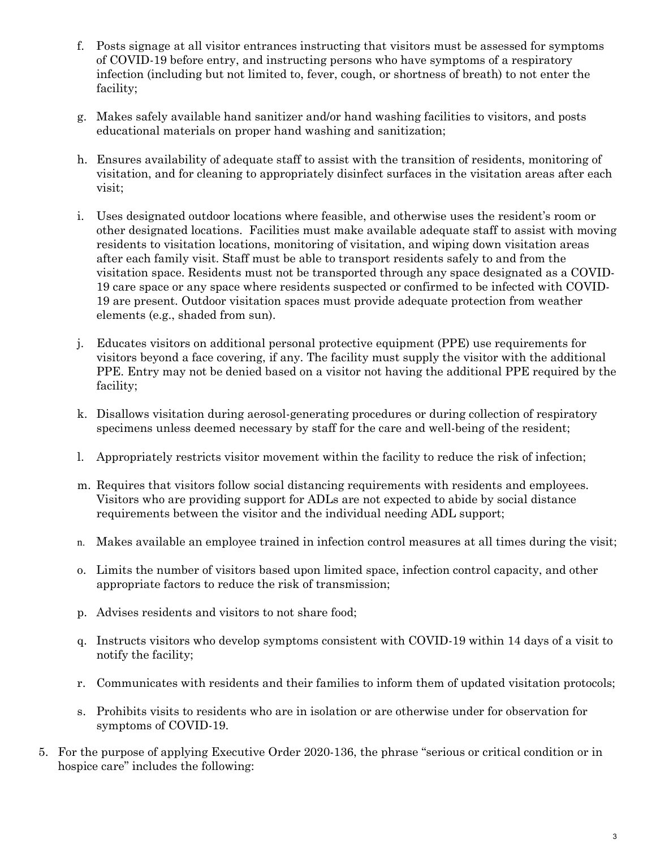- f. Posts signage at all visitor entrances instructing that visitors must be assessed for symptoms of COVID-19 before entry, and instructing persons who have symptoms of a respiratory infection (including but not limited to, fever, cough, or shortness of breath) to not enter the facility;
- g. Makes safely available hand sanitizer and/or hand washing facilities to visitors, and posts educational materials on proper hand washing and sanitization;
- h. Ensures availability of adequate staff to assist with the transition of residents, monitoring of visitation, and for cleaning to appropriately disinfect surfaces in the visitation areas after each visit;
- i. Uses designated outdoor locations where feasible, and otherwise uses the resident's room or other designated locations. Facilities must make available adequate staff to assist with moving residents to visitation locations, monitoring of visitation, and wiping down visitation areas after each family visit. Staff must be able to transport residents safely to and from the visitation space. Residents must not be transported through any space designated as a COVID-19 care space or any space where residents suspected or confirmed to be infected with COVID-19 are present. Outdoor visitation spaces must provide adequate protection from weather elements (e.g., shaded from sun).
- j. Educates visitors on additional personal protective equipment (PPE) use requirements for visitors beyond a face covering, if any. The facility must supply the visitor with the additional PPE. Entry may not be denied based on a visitor not having the additional PPE required by the facility;
- k. Disallows visitation during aerosol-generating procedures or during collection of respiratory specimens unless deemed necessary by staff for the care and well-being of the resident;
- l. Appropriately restricts visitor movement within the facility to reduce the risk of infection;
- m. Requires that visitors follow social distancing requirements with residents and employees. Visitors who are providing support for ADLs are not expected to abide by social distance requirements between the visitor and the individual needing ADL support;
- n. Makes available an employee trained in infection control measures at all times during the visit;
- o. Limits the number of visitors based upon limited space, infection control capacity, and other appropriate factors to reduce the risk of transmission;
- p. Advises residents and visitors to not share food;
- q. Instructs visitors who develop symptoms consistent with COVID-19 within 14 days of a visit to notify the facility;
- r. Communicates with residents and their families to inform them of updated visitation protocols;
- s. Prohibits visits to residents who are in isolation or are otherwise under for observation for symptoms of COVID-19.
- 5. For the purpose of applying Executive Order 2020-136, the phrase "serious or critical condition or in hospice care" includes the following: